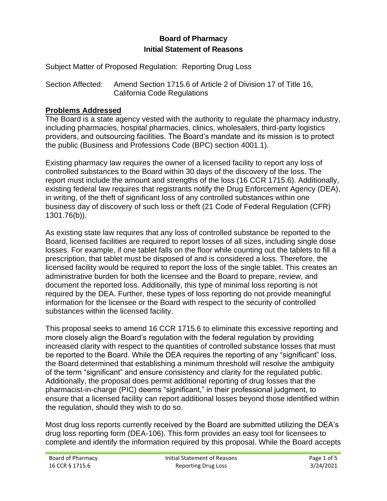### **Board of Pharmacy Initial Statement of Reasons**

Subject Matter of Proposed Regulation: Reporting Drug Loss

Section Affected: Amend Section 1715.6 of Article 2 of Division 17 of Title 16, California Code Regulations

### **Problems Addressed**

The Board is a state agency vested with the authority to regulate the pharmacy industry, including pharmacies, hospital pharmacies, clinics, wholesalers, third-party logistics providers, and outsourcing facilities. The Board's mandate and its mission is to protect the public (Business and Professions Code (BPC) section 4001.1).

Existing pharmacy law requires the owner of a licensed facility to report any loss of controlled substances to the Board within 30 days of the discovery of the loss. The report must include the amount and strengths of the loss (16 CCR 1715.6). Additionally, existing federal law requires that registrants notify the Drug Enforcement Agency (DEA), in writing, of the theft of significant loss of any controlled substances within one business day of discovery of such loss or theft (21 Code of Federal Regulation (CFR) 1301.76(b)).

As existing state law requires that any loss of controlled substance be reported to the Board, licensed facilities are required to report losses of all sizes, including single dose losses. For example, if one tablet falls on the floor while counting out the tablets to fill a prescription, that tablet must be disposed of and is considered a loss. Therefore, the licensed facility would be required to report the loss of the single tablet. This creates an administrative burden for both the licensee and the Board to prepare, review, and document the reported loss. Additionally, this type of minimal loss reporting is not required by the DEA. Further, these types of loss reporting do not provide meaningful information for the licensee or the Board with respect to the security of controlled substances within the licensed facility.

This proposal seeks to amend 16 CCR 1715.6 to eliminate this excessive reporting and more closely align the Board's regulation with the federal regulation by providing increased clarity with respect to the quantities of controlled substance losses that must be reported to the Board. While the DEA requires the reporting of any "significant" loss, the Board determined that establishing a minimum threshold will resolve the ambiguity of the term "significant" and ensure consistency and clarity for the regulated public. Additionally, the proposal does permit additional reporting of drug losses that the pharmacist-in-charge (PIC) deems "significant," in their professional judgment, to ensure that a licensed facility can report additional losses beyond those identified within the regulation, should they wish to do so.

Most drug loss reports currently received by the Board are submitted utilizing the DEA's drug loss reporting form (DEA-106). This form provides an easy tool for licensees to complete and identify the information required by this proposal. While the Board accepts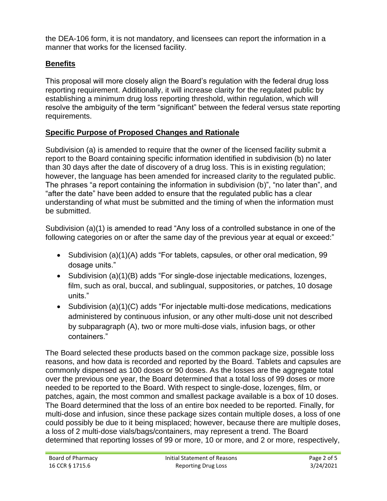the DEA-106 form, it is not mandatory, and licensees can report the information in a manner that works for the licensed facility.

### **Benefits**

This proposal will more closely align the Board's regulation with the federal drug loss reporting requirement. Additionally, it will increase clarity for the regulated public by establishing a minimum drug loss reporting threshold, within regulation, which will resolve the ambiguity of the term "significant" between the federal versus state reporting requirements.

## **Specific Purpose of Proposed Changes and Rationale**

Subdivision (a) is amended to require that the owner of the licensed facility submit a report to the Board containing specific information identified in subdivision (b) no later than 30 days after the date of discovery of a drug loss. This is in existing regulation; however, the language has been amended for increased clarity to the regulated public. The phrases "a report containing the information in subdivision (b)", "no later than", and "after the date" have been added to ensure that the regulated public has a clear understanding of what must be submitted and the timing of when the information must be submitted.

Subdivision (a)(1) is amended to read "Any loss of a controlled substance in one of the following categories on or after the same day of the previous year at equal or exceed:"

- Subdivision (a)(1)(A) adds "For tablets, capsules, or other oral medication, 99 dosage units."
- Subdivision (a)(1)(B) adds "For single-dose injectable medications, lozenges, film, such as oral, buccal, and sublingual, suppositories, or patches, 10 dosage units."
- Subdivision (a)(1)(C) adds "For injectable multi-dose medications, medications administered by continuous infusion, or any other multi-dose unit not described by subparagraph (A), two or more multi-dose vials, infusion bags, or other containers."

The Board selected these products based on the common package size, possible loss reasons, and how data is recorded and reported by the Board. Tablets and capsules are commonly dispensed as 100 doses or 90 doses. As the losses are the aggregate total over the previous one year, the Board determined that a total loss of 99 doses or more needed to be reported to the Board. With respect to single-dose, lozenges, film, or patches, again, the most common and smallest package available is a box of 10 doses. The Board determined that the loss of an entire box needed to be reported. Finally, for multi-dose and infusion, since these package sizes contain multiple doses, a loss of one could possibly be due to it being misplaced; however, because there are multiple doses, a loss of 2 multi-dose vials/bags/containers, may represent a trend. The Board determined that reporting losses of 99 or more, 10 or more, and 2 or more, respectively,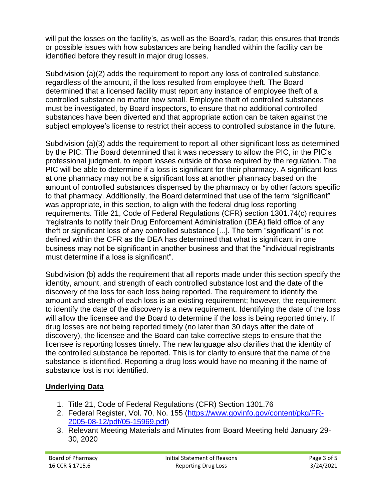will put the losses on the facility's, as well as the Board's, radar; this ensures that trends or possible issues with how substances are being handled within the facility can be identified before they result in major drug losses.

Subdivision (a)(2) adds the requirement to report any loss of controlled substance, regardless of the amount, if the loss resulted from employee theft. The Board determined that a licensed facility must report any instance of employee theft of a controlled substance no matter how small. Employee theft of controlled substances must be investigated, by Board inspectors, to ensure that no additional controlled substances have been diverted and that appropriate action can be taken against the subject employee's license to restrict their access to controlled substance in the future.

Subdivision (a)(3) adds the requirement to report all other significant loss as determined by the PIC. The Board determined that it was necessary to allow the PIC, in the PIC's professional judgment, to report losses outside of those required by the regulation. The PIC will be able to determine if a loss is significant for their pharmacy. A significant loss at one pharmacy may not be a significant loss at another pharmacy based on the amount of controlled substances dispensed by the pharmacy or by other factors specific to that pharmacy. Additionally, the Board determined that use of the term "significant" was appropriate, in this section, to align with the federal drug loss reporting requirements. Title 21, Code of Federal Regulations (CFR) section 1301.74(c) requires "registrants to notify their Drug Enforcement Administration (DEA) field office of any theft or significant loss of any controlled substance [...]. The term "significant" is not defined within the CFR as the DEA has determined that what is significant in one business may not be significant in another business and that the "individual registrants must determine if a loss is significant".

Subdivision (b) adds the requirement that all reports made under this section specify the identity, amount, and strength of each controlled substance lost and the date of the discovery of the loss for each loss being reported. The requirement to identify the amount and strength of each loss is an existing requirement; however, the requirement to identify the date of the discovery is a new requirement. Identifying the date of the loss will allow the licensee and the Board to determine if the loss is being reported timely. If drug losses are not being reported timely (no later than 30 days after the date of discovery), the licensee and the Board can take corrective steps to ensure that the licensee is reporting losses timely. The new language also clarifies that the identity of the controlled substance be reported. This is for clarity to ensure that the name of the substance is identified. Reporting a drug loss would have no meaning if the name of substance lost is not identified.

## **Underlying Data**

- 1. Title 21, Code of Federal Regulations (CFR) Section 1301.76
- 2. Federal Register, Vol. 70, No. 155 [\(https://www.govinfo.gov/content/pkg/FR-](https://www.govinfo.gov/content/pkg/FR-2005-08-12/pdf/05-15969.pdf)[2005-08-12/pdf/05-15969.pdf\)](https://www.govinfo.gov/content/pkg/FR-2005-08-12/pdf/05-15969.pdf)
- 3. Relevant Meeting Materials and Minutes from Board Meeting held January 29- 30, 2020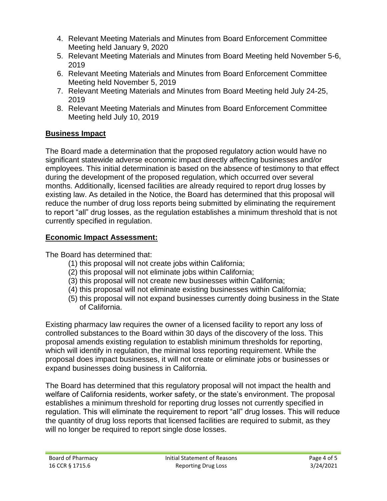- 4. Relevant Meeting Materials and Minutes from Board Enforcement Committee Meeting held January 9, 2020
- 5. Relevant Meeting Materials and Minutes from Board Meeting held November 5-6, 2019
- 6. Relevant Meeting Materials and Minutes from Board Enforcement Committee Meeting held November 5, 2019
- 7. Relevant Meeting Materials and Minutes from Board Meeting held July 24-25, 2019
- 8. Relevant Meeting Materials and Minutes from Board Enforcement Committee Meeting held July 10, 2019

## **Business Impact**

The Board made a determination that the proposed regulatory action would have no significant statewide adverse economic impact directly affecting businesses and/or employees. This initial determination is based on the absence of testimony to that effect during the development of the proposed regulation, which occurred over several months. Additionally, licensed facilities are already required to report drug losses by existing law. As detailed in the Notice, the Board has determined that this proposal will reduce the number of drug loss reports being submitted by eliminating the requirement to report "all" drug losses, as the regulation establishes a minimum threshold that is not currently specified in regulation.

# **Economic Impact Assessment:**

The Board has determined that:

- (1) this proposal will not create jobs within California;
- (2) this proposal will not eliminate jobs within California;
- (3) this proposal will not create new businesses within California;
- (4) this proposal will not eliminate existing businesses within California;
- (5) this proposal will not expand businesses currently doing business in the State of California.

Existing pharmacy law requires the owner of a licensed facility to report any loss of controlled substances to the Board within 30 days of the discovery of the loss. This proposal amends existing regulation to establish minimum thresholds for reporting, which will identify in regulation, the minimal loss reporting requirement. While the proposal does impact businesses, it will not create or eliminate jobs or businesses or expand businesses doing business in California.

The Board has determined that this regulatory proposal will not impact the health and welfare of California residents, worker safety, or the state's environment. The proposal establishes a minimum threshold for reporting drug losses not currently specified in regulation. This will eliminate the requirement to report "all" drug losses. This will reduce the quantity of drug loss reports that licensed facilities are required to submit, as they will no longer be required to report single dose losses.